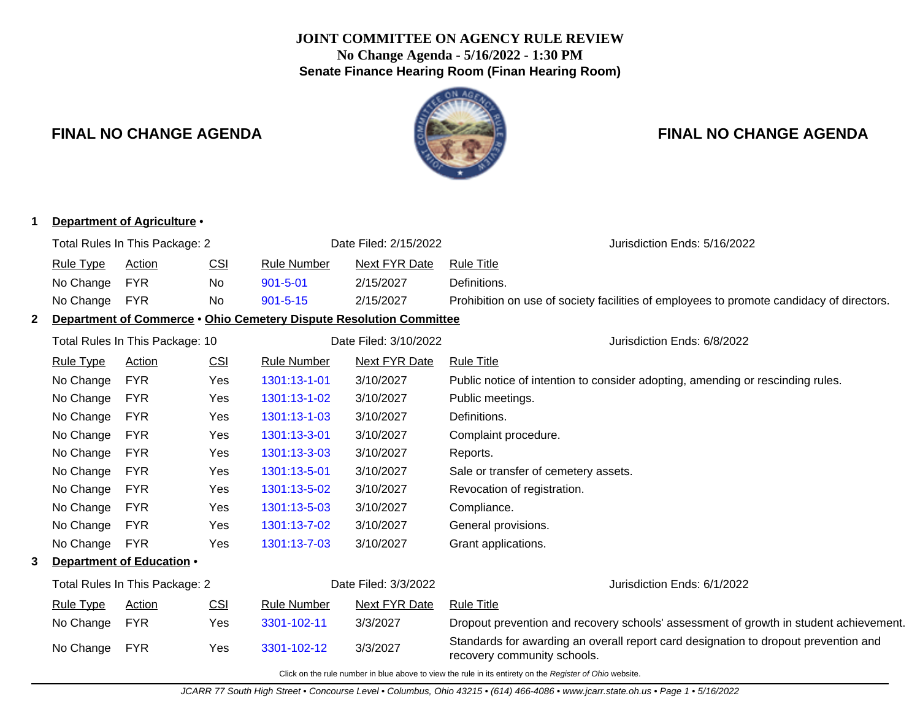## **JOINT COMMITTEE ON AGENCY RULE REVIEW No Change Agenda - 5/16/2022 - 1:30 PM Senate Finance Hearing Room (Finan Hearing Room)**



# **FINAL NO CHANGE AGENDA FINAL NO CHANGE AGENDA**

| 1                              |                                                                                                          | Department of Agriculture .                            |            |                       |                                                                     |                                                                                                                    |  |  |  |
|--------------------------------|----------------------------------------------------------------------------------------------------------|--------------------------------------------------------|------------|-----------------------|---------------------------------------------------------------------|--------------------------------------------------------------------------------------------------------------------|--|--|--|
| Total Rules In This Package: 2 |                                                                                                          |                                                        |            | Date Filed: 2/15/2022 | Jurisdiction Ends: 5/16/2022                                        |                                                                                                                    |  |  |  |
|                                | <b>Rule Type</b>                                                                                         | <b>Action</b>                                          | CSI        | <b>Rule Number</b>    | <b>Next FYR Date</b>                                                | <b>Rule Title</b>                                                                                                  |  |  |  |
|                                | No Change                                                                                                | <b>FYR</b>                                             | No         | $901 - 5 - 01$        | 2/15/2027                                                           | Definitions.                                                                                                       |  |  |  |
|                                | No Change                                                                                                | <b>FYR</b>                                             | No         | $901 - 5 - 15$        | 2/15/2027                                                           | Prohibition on use of society facilities of employees to promote candidacy of directors.                           |  |  |  |
| $\mathbf{2}$                   |                                                                                                          |                                                        |            |                       | Department of Commerce . Ohio Cemetery Dispute Resolution Committee |                                                                                                                    |  |  |  |
|                                |                                                                                                          | Total Rules In This Package: 10                        |            |                       | Date Filed: 3/10/2022                                               | Jurisdiction Ends: 6/8/2022                                                                                        |  |  |  |
|                                | <b>Rule Type</b>                                                                                         | <b>Action</b>                                          | <b>CSI</b> | <b>Rule Number</b>    | <b>Next FYR Date</b>                                                | <b>Rule Title</b>                                                                                                  |  |  |  |
|                                | No Change                                                                                                | <b>FYR</b>                                             | Yes        | 1301:13-1-01          | 3/10/2027                                                           | Public notice of intention to consider adopting, amending or rescinding rules.                                     |  |  |  |
|                                | No Change                                                                                                | <b>FYR</b>                                             | Yes        | 1301:13-1-02          | 3/10/2027                                                           | Public meetings.                                                                                                   |  |  |  |
|                                | No Change                                                                                                | <b>FYR</b>                                             | Yes        | 1301:13-1-03          | 3/10/2027                                                           | Definitions.                                                                                                       |  |  |  |
|                                | No Change                                                                                                | <b>FYR</b>                                             | Yes        | 1301:13-3-01          | 3/10/2027                                                           | Complaint procedure.                                                                                               |  |  |  |
|                                | No Change                                                                                                | <b>FYR</b>                                             | Yes        | 1301:13-3-03          | 3/10/2027                                                           | Reports.                                                                                                           |  |  |  |
|                                | No Change                                                                                                | <b>FYR</b>                                             | Yes        | 1301:13-5-01          | 3/10/2027                                                           | Sale or transfer of cemetery assets.                                                                               |  |  |  |
|                                | No Change                                                                                                | <b>FYR</b>                                             | Yes        | 1301:13-5-02          | 3/10/2027                                                           | Revocation of registration.                                                                                        |  |  |  |
|                                | No Change                                                                                                | <b>FYR</b>                                             | Yes        | 1301:13-5-03          | 3/10/2027                                                           | Compliance.                                                                                                        |  |  |  |
|                                | No Change                                                                                                | <b>FYR</b>                                             | Yes        | 1301:13-7-02          | 3/10/2027                                                           | General provisions.                                                                                                |  |  |  |
|                                | No Change                                                                                                | <b>FYR</b>                                             | Yes        | 1301:13-7-03          | 3/10/2027                                                           | Grant applications.                                                                                                |  |  |  |
| 3.                             |                                                                                                          | Department of Education .                              |            |                       |                                                                     |                                                                                                                    |  |  |  |
|                                |                                                                                                          | Total Rules In This Package: 2<br>Date Filed: 3/3/2022 |            |                       | Jurisdiction Ends: 6/1/2022                                         |                                                                                                                    |  |  |  |
|                                | <b>Rule Type</b>                                                                                         | Action                                                 | <b>CSI</b> | Rule Number           | Next FYR Date                                                       | <b>Rule Title</b>                                                                                                  |  |  |  |
|                                | No Change                                                                                                | <b>FYR</b>                                             | Yes        | 3301-102-11           | 3/3/2027                                                            | Dropout prevention and recovery schools' assessment of growth in student achievement.                              |  |  |  |
|                                | No Change                                                                                                | <b>FYR</b>                                             | Yes        | 3301-102-12           | 3/3/2027                                                            | Standards for awarding an overall report card designation to dropout prevention and<br>recovery community schools. |  |  |  |
|                                | Click on the rule number in blue above to view the rule in its entirety on the Register of Ohio website. |                                                        |            |                       |                                                                     |                                                                                                                    |  |  |  |

#### JCARR 77 South High Street • Concourse Level • Columbus, Ohio 43215 • (614) 466-4086 • www.jcarr.state.oh.us • Page 1 • 5/16/2022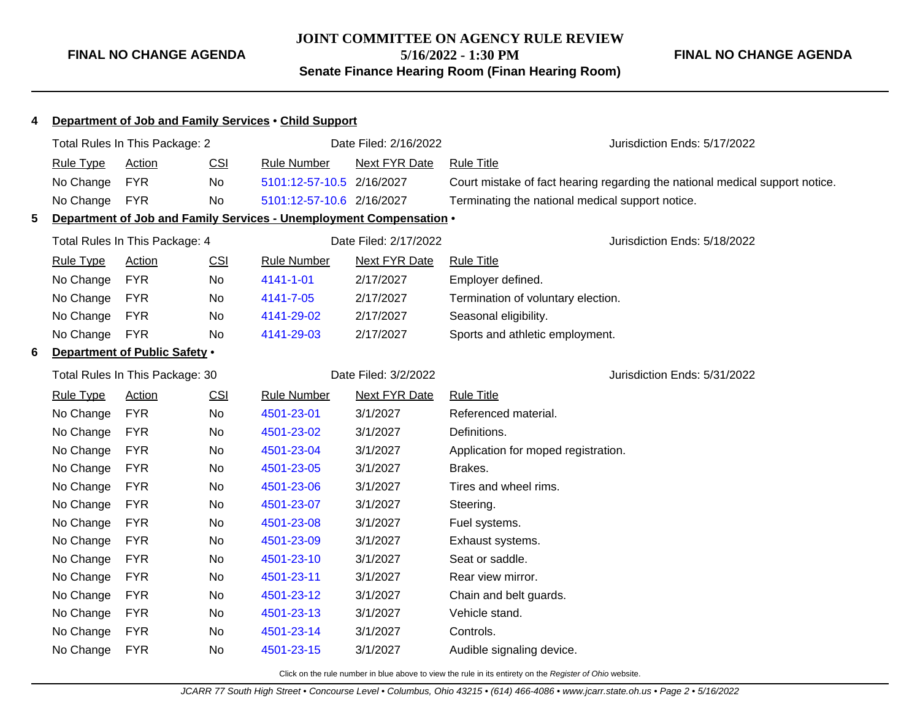## **JOINT COMMITTEE ON AGENCY RULE REVIEW 5/16/2022 - 1:30 PM Senate Finance Hearing Room (Finan Hearing Room)**

**FINAL NO CHANGE AGENDA**

| Department of Job and Family Services . Child Support<br>4 |                                |                                 |           |                                                                     |                       |                                                                              |
|------------------------------------------------------------|--------------------------------|---------------------------------|-----------|---------------------------------------------------------------------|-----------------------|------------------------------------------------------------------------------|
|                                                            | Total Rules In This Package: 2 |                                 |           |                                                                     | Date Filed: 2/16/2022 | Jurisdiction Ends: 5/17/2022                                                 |
|                                                            | <b>Rule Type</b>               | Action                          | CSI       | <b>Rule Number</b>                                                  | <b>Next FYR Date</b>  | <b>Rule Title</b>                                                            |
|                                                            | No Change                      | <b>FYR</b>                      | No        | 5101:12-57-10.5 2/16/2027                                           |                       | Court mistake of fact hearing regarding the national medical support notice. |
|                                                            | No Change                      | <b>FYR</b>                      | <b>No</b> | 5101:12-57-10.6 2/16/2027                                           |                       | Terminating the national medical support notice.                             |
| 5                                                          |                                |                                 |           | Department of Job and Family Services - Unemployment Compensation . |                       |                                                                              |
|                                                            |                                | Total Rules In This Package: 4  |           |                                                                     | Date Filed: 2/17/2022 | Jurisdiction Ends: 5/18/2022                                                 |
|                                                            | <b>Rule Type</b>               | <b>Action</b>                   | CSI       | <b>Rule Number</b>                                                  | <b>Next FYR Date</b>  | <b>Rule Title</b>                                                            |
|                                                            | No Change                      | <b>FYR</b>                      | No        | 4141-1-01                                                           | 2/17/2027             | Employer defined.                                                            |
|                                                            | No Change                      | <b>FYR</b>                      | No        | 4141-7-05                                                           | 2/17/2027             | Termination of voluntary election.                                           |
|                                                            | No Change                      | <b>FYR</b>                      | No        | 4141-29-02                                                          | 2/17/2027             | Seasonal eligibility.                                                        |
|                                                            | No Change                      | <b>FYR</b>                      | No        | 4141-29-03                                                          | 2/17/2027             | Sports and athletic employment.                                              |
| 6                                                          |                                | Department of Public Safety .   |           |                                                                     |                       |                                                                              |
|                                                            |                                | Total Rules In This Package: 30 |           |                                                                     | Date Filed: 3/2/2022  | Jurisdiction Ends: 5/31/2022                                                 |
|                                                            | <b>Rule Type</b>               | <b>Action</b>                   | CSI       | <b>Rule Number</b>                                                  | <b>Next FYR Date</b>  | <b>Rule Title</b>                                                            |
|                                                            | No Change                      | <b>FYR</b>                      | No        | 4501-23-01                                                          | 3/1/2027              | Referenced material.                                                         |
|                                                            | No Change                      | <b>FYR</b>                      | No        | 4501-23-02                                                          | 3/1/2027              | Definitions.                                                                 |
|                                                            | No Change                      | <b>FYR</b>                      | No        | 4501-23-04                                                          | 3/1/2027              | Application for moped registration.                                          |
|                                                            | No Change                      | <b>FYR</b>                      | No        | 4501-23-05                                                          | 3/1/2027              | Brakes.                                                                      |
|                                                            | No Change                      | <b>FYR</b>                      | No        | 4501-23-06                                                          | 3/1/2027              | Tires and wheel rims.                                                        |
|                                                            | No Change                      | <b>FYR</b>                      | No        | 4501-23-07                                                          | 3/1/2027              | Steering.                                                                    |
|                                                            | No Change                      | <b>FYR</b>                      | No        | 4501-23-08                                                          | 3/1/2027              | Fuel systems.                                                                |
|                                                            | No Change                      | <b>FYR</b>                      | No        | 4501-23-09                                                          | 3/1/2027              | Exhaust systems.                                                             |
|                                                            | No Change                      | <b>FYR</b>                      | No        | 4501-23-10                                                          | 3/1/2027              | Seat or saddle.                                                              |
|                                                            | No Change                      | <b>FYR</b>                      | No        | 4501-23-11                                                          | 3/1/2027              | Rear view mirror.                                                            |
|                                                            | No Change                      | <b>FYR</b>                      | No        | 4501-23-12                                                          | 3/1/2027              | Chain and belt guards.                                                       |
|                                                            | No Change                      | <b>FYR</b>                      | No        | 4501-23-13                                                          | 3/1/2027              | Vehicle stand.                                                               |
|                                                            | No Change                      | <b>FYR</b>                      | No.       | 4501-23-14                                                          | 3/1/2027              | Controls.                                                                    |
|                                                            | No Change                      | <b>FYR</b>                      | No        | 4501-23-15                                                          | 3/1/2027              | Audible signaling device.                                                    |

Click on the rule number in blue above to view the rule in its entirety on the Register of Ohio website.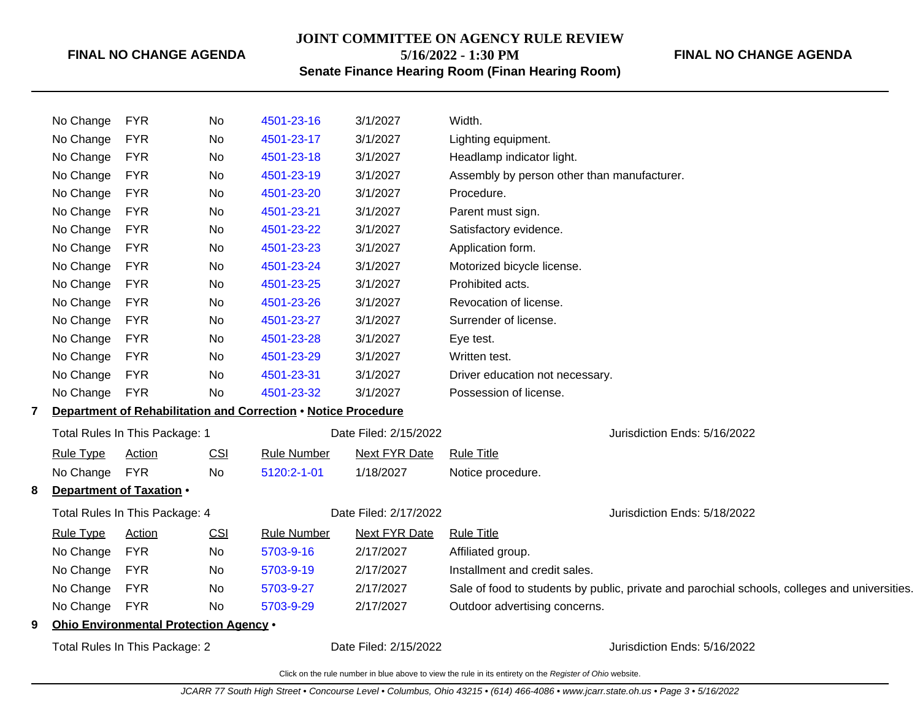## **JOINT COMMITTEE ON AGENCY RULE REVIEW 5/16/2022 - 1:30 PM**

**FINAL NO CHANGE AGENDA**

**Senate Finance Hearing Room (Finan Hearing Room)**

| No Change        | <b>FYR</b><br>Ohio Environmental Protection Agency .<br>Total Rules In This Package: 2 | No                                                                 |                                                                | Date Filed: 2/15/2022                                              | Jurisdiction Ends: 5/16/2022                                                                  |
|------------------|----------------------------------------------------------------------------------------|--------------------------------------------------------------------|----------------------------------------------------------------|--------------------------------------------------------------------|-----------------------------------------------------------------------------------------------|
|                  |                                                                                        |                                                                    |                                                                |                                                                    |                                                                                               |
|                  |                                                                                        |                                                                    |                                                                |                                                                    |                                                                                               |
|                  |                                                                                        |                                                                    | 5703-9-29                                                      | 2/17/2027                                                          | Outdoor advertising concerns.                                                                 |
| No Change        | <b>FYR</b>                                                                             | No                                                                 | 5703-9-27                                                      | 2/17/2027                                                          | Sale of food to students by public, private and parochial schools, colleges and universities. |
| No Change        | <b>FYR</b>                                                                             | No                                                                 | 5703-9-19                                                      | 2/17/2027                                                          | Installment and credit sales.                                                                 |
| No Change        | <b>FYR</b>                                                                             | No                                                                 | 5703-9-16                                                      | 2/17/2027                                                          | Affiliated group.                                                                             |
| <b>Rule Type</b> | <b>Action</b>                                                                          | CSI                                                                | <b>Rule Number</b>                                             | <b>Next FYR Date</b>                                               | <b>Rule Title</b>                                                                             |
|                  | Total Rules In This Package: 4                                                         |                                                                    |                                                                | Date Filed: 2/17/2022                                              | Jurisdiction Ends: 5/18/2022                                                                  |
|                  | Department of Taxation .                                                               |                                                                    |                                                                |                                                                    |                                                                                               |
| No Change        | <b>FYR</b>                                                                             | No                                                                 | 5120:2-1-01                                                    | 1/18/2027                                                          | Notice procedure.                                                                             |
| <b>Rule Type</b> | Action                                                                                 | <b>CSI</b>                                                         | <b>Rule Number</b>                                             | <b>Next FYR Date</b>                                               | <b>Rule Title</b>                                                                             |
|                  | Total Rules In This Package: 1                                                         |                                                                    |                                                                | Date Filed: 2/15/2022                                              | Jurisdiction Ends: 5/16/2022                                                                  |
|                  |                                                                                        |                                                                    | Department of Rehabilitation and Correction . Notice Procedure |                                                                    |                                                                                               |
| No Change        | <b>FYR</b>                                                                             | No                                                                 | 4501-23-32                                                     | 3/1/2027                                                           | Possession of license.                                                                        |
| No Change        | <b>FYR</b>                                                                             | No                                                                 | 4501-23-31                                                     | 3/1/2027                                                           | Driver education not necessary.                                                               |
| No Change        | <b>FYR</b>                                                                             | No                                                                 | 4501-23-29                                                     | 3/1/2027                                                           | Written test.                                                                                 |
| No Change        | <b>FYR</b>                                                                             | No                                                                 | 4501-23-28                                                     | 3/1/2027                                                           | Eye test.                                                                                     |
| No Change        | <b>FYR</b>                                                                             | No                                                                 | 4501-23-27                                                     | 3/1/2027                                                           | Surrender of license.                                                                         |
| No Change        | <b>FYR</b>                                                                             | No                                                                 | 4501-23-26                                                     | 3/1/2027                                                           | Revocation of license.                                                                        |
| No Change        | <b>FYR</b>                                                                             | No.                                                                | 4501-23-25                                                     | 3/1/2027                                                           | Prohibited acts.                                                                              |
| No Change        | <b>FYR</b>                                                                             | No                                                                 | 4501-23-24                                                     | 3/1/2027                                                           | Motorized bicycle license.                                                                    |
| No Change        | <b>FYR</b>                                                                             | No                                                                 | 4501-23-23                                                     | 3/1/2027                                                           | Application form.                                                                             |
| No Change        | <b>FYR</b>                                                                             | No                                                                 | 4501-23-22                                                     | 3/1/2027                                                           | Satisfactory evidence.                                                                        |
| No Change        | <b>FYR</b>                                                                             | No                                                                 | 4501-23-21                                                     | 3/1/2027                                                           | Parent must sign.                                                                             |
| No Change        |                                                                                        |                                                                    |                                                                |                                                                    | Procedure.                                                                                    |
|                  |                                                                                        |                                                                    |                                                                |                                                                    | Assembly by person other than manufacturer.                                                   |
|                  |                                                                                        |                                                                    |                                                                |                                                                    | Headlamp indicator light.                                                                     |
|                  |                                                                                        |                                                                    |                                                                |                                                                    | Lighting equipment.                                                                           |
|                  |                                                                                        |                                                                    |                                                                |                                                                    | Width.                                                                                        |
|                  | No Change<br>No Change<br>No Change<br>No Change                                       | <b>FYR</b><br><b>FYR</b><br><b>FYR</b><br><b>FYR</b><br><b>FYR</b> | No<br>No<br>No.<br>No<br>No                                    | 4501-23-16<br>4501-23-17<br>4501-23-18<br>4501-23-19<br>4501-23-20 | 3/1/2027<br>3/1/2027<br>3/1/2027<br>3/1/2027<br>3/1/2027                                      |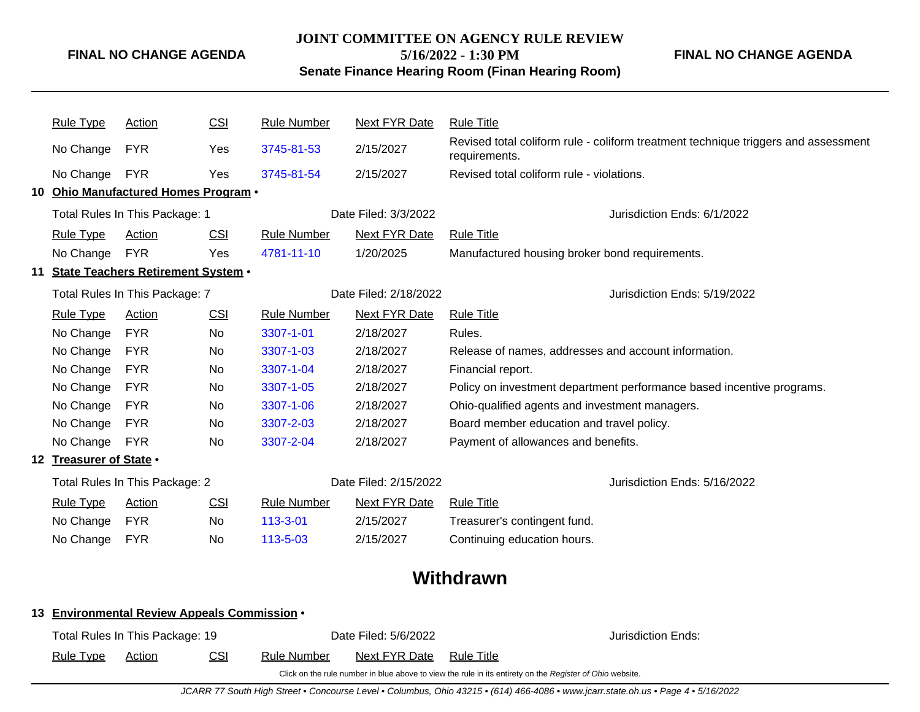### **JOINT COMMITTEE ON AGENCY RULE REVIEW**

**5/16/2022 - 1:30 PM**

**FINAL NO CHANGE AGENDA**

## **Senate Finance Hearing Room (Finan Hearing Room)**

| <b>Rule Type</b>                             | <b>Action</b>                         | CSI        | <b>Rule Number</b>    | <b>Next FYR Date</b>         | <b>Rule Title</b>                                                                                   |  |  |
|----------------------------------------------|---------------------------------------|------------|-----------------------|------------------------------|-----------------------------------------------------------------------------------------------------|--|--|
| No Change                                    | <b>FYR</b>                            | Yes        | 3745-81-53            | 2/15/2027                    | Revised total coliform rule - coliform treatment technique triggers and assessment<br>requirements. |  |  |
| No Change                                    | <b>FYR</b>                            | Yes        | 3745-81-54            | 2/15/2027                    | Revised total coliform rule - violations.                                                           |  |  |
|                                              | 10 Ohio Manufactured Homes Program .  |            |                       |                              |                                                                                                     |  |  |
|                                              | Total Rules In This Package: 1        |            |                       | Date Filed: 3/3/2022         | Jurisdiction Ends: 6/1/2022                                                                         |  |  |
| <b>Rule Type</b>                             | Action                                | <b>CSI</b> | <b>Rule Number</b>    | <b>Next FYR Date</b>         | <b>Rule Title</b>                                                                                   |  |  |
| No Change                                    | <b>FYR</b>                            | Yes        | 4781-11-10            | 1/20/2025                    | Manufactured housing broker bond requirements.                                                      |  |  |
|                                              | 11 State Teachers Retirement System . |            |                       |                              |                                                                                                     |  |  |
| Total Rules In This Package: 7               |                                       |            | Date Filed: 2/18/2022 | Jurisdiction Ends: 5/19/2022 |                                                                                                     |  |  |
| <b>Rule Type</b>                             | <b>Action</b>                         | CSI        | <b>Rule Number</b>    | <b>Next FYR Date</b>         | <b>Rule Title</b>                                                                                   |  |  |
| No Change                                    | <b>FYR</b>                            | No         | 3307-1-01             | 2/18/2027                    | Rules.                                                                                              |  |  |
| No Change                                    | <b>FYR</b>                            | No         | 3307-1-03             | 2/18/2027                    | Release of names, addresses and account information.                                                |  |  |
| No Change                                    | <b>FYR</b>                            | No         | 3307-1-04             | 2/18/2027                    | Financial report.                                                                                   |  |  |
| No Change                                    | <b>FYR</b>                            | No         | 3307-1-05             | 2/18/2027                    | Policy on investment department performance based incentive programs.                               |  |  |
| No Change                                    | <b>FYR</b>                            | No         | 3307-1-06             | 2/18/2027                    | Ohio-qualified agents and investment managers.                                                      |  |  |
| No Change                                    | <b>FYR</b>                            | No         | 3307-2-03             | 2/18/2027                    | Board member education and travel policy.                                                           |  |  |
| No Change                                    | <b>FYR</b>                            | No         | 3307-2-04             | 2/18/2027                    | Payment of allowances and benefits.                                                                 |  |  |
| 12 Treasurer of State .                      |                                       |            |                       |                              |                                                                                                     |  |  |
|                                              | Total Rules In This Package: 2        |            |                       | Date Filed: 2/15/2022        | Jurisdiction Ends: 5/16/2022                                                                        |  |  |
| <b>Rule Type</b>                             | Action                                | <b>CSI</b> | <b>Rule Number</b>    | <b>Next FYR Date</b>         | <b>Rule Title</b>                                                                                   |  |  |
| No Change                                    | <b>FYR</b>                            | No         | 113-3-01              | 2/15/2027                    | Treasurer's contingent fund.                                                                        |  |  |
| No Change                                    | <b>FYR</b>                            | No         | 113-5-03              | 2/15/2027                    | Continuing education hours.                                                                         |  |  |
|                                              |                                       |            |                       |                              | Withdrawn                                                                                           |  |  |
| 13 Environmental Review Appeals Commission . |                                       |            |                       |                              |                                                                                                     |  |  |

| Total Rules In This Package: 19 |        |            | Date Filed: 5/6/2022 |               |            | Jurisdiction Ends:                                                                                       |
|---------------------------------|--------|------------|----------------------|---------------|------------|----------------------------------------------------------------------------------------------------------|
| <u>Rule Type</u>                | Action | <u>CSI</u> | Rule Number          | Next FYR Date | Rule Title |                                                                                                          |
|                                 |        |            |                      |               |            | Click on the rule number in blue above to view the rule in its entirety on the Register of Ohio website. |

JCARR 77 South High Street • Concourse Level • Columbus, Ohio 43215 • (614) 466-4086 • www.jcarr.state.oh.us • Page 4 • 5/16/2022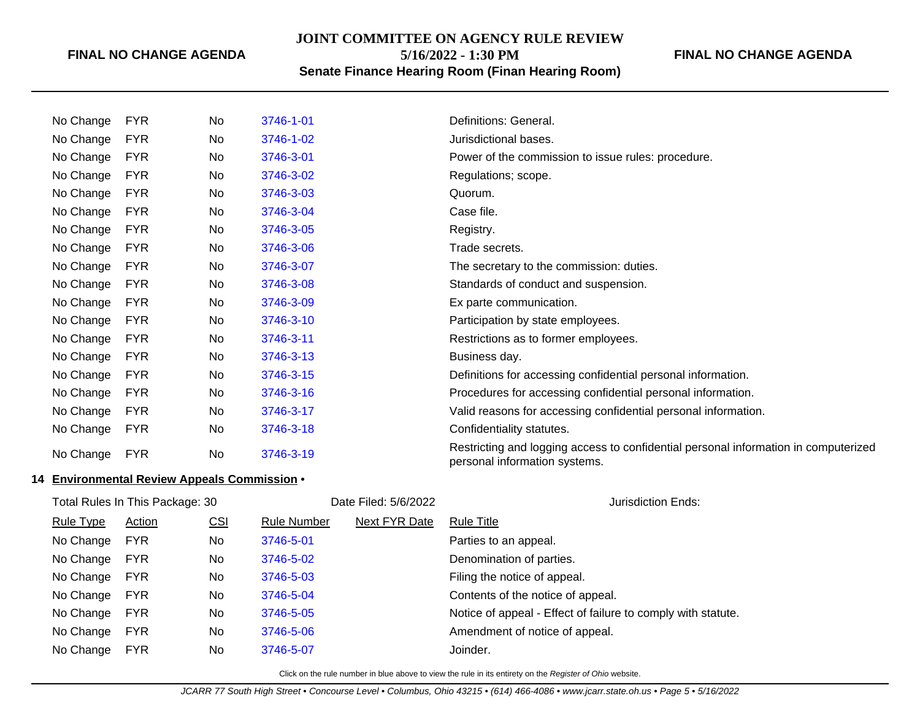## **JOINT COMMITTEE ON AGENCY RULE REVIEW**

**5/16/2022 - 1:30 PM**

## **Senate Finance Hearing Room (Finan Hearing Room)**

### **FINAL NO CHANGE AGENDA**

| No Change | <b>FYR</b> | No  | 3746-1-01 | Definitions: General.                                                                                                |
|-----------|------------|-----|-----------|----------------------------------------------------------------------------------------------------------------------|
| No Change | <b>FYR</b> | No  | 3746-1-02 | Jurisdictional bases.                                                                                                |
| No Change | <b>FYR</b> | No  | 3746-3-01 | Power of the commission to issue rules: procedure.                                                                   |
| No Change | <b>FYR</b> | No. | 3746-3-02 | Regulations; scope.                                                                                                  |
| No Change | <b>FYR</b> | No. | 3746-3-03 | Quorum.                                                                                                              |
| No Change | <b>FYR</b> | No. | 3746-3-04 | Case file.                                                                                                           |
| No Change | <b>FYR</b> | No. | 3746-3-05 | Registry.                                                                                                            |
| No Change | <b>FYR</b> | No. | 3746-3-06 | Trade secrets.                                                                                                       |
| No Change | <b>FYR</b> | No  | 3746-3-07 | The secretary to the commission: duties.                                                                             |
| No Change | <b>FYR</b> | No. | 3746-3-08 | Standards of conduct and suspension.                                                                                 |
| No Change | <b>FYR</b> | No  | 3746-3-09 | Ex parte communication.                                                                                              |
| No Change | <b>FYR</b> | No  | 3746-3-10 | Participation by state employees.                                                                                    |
| No Change | <b>FYR</b> | No  | 3746-3-11 | Restrictions as to former employees.                                                                                 |
| No Change | <b>FYR</b> | No  | 3746-3-13 | Business day.                                                                                                        |
| No Change | <b>FYR</b> | No. | 3746-3-15 | Definitions for accessing confidential personal information.                                                         |
| No Change | <b>FYR</b> | No. | 3746-3-16 | Procedures for accessing confidential personal information.                                                          |
| No Change | <b>FYR</b> | No  | 3746-3-17 | Valid reasons for accessing confidential personal information.                                                       |
| No Change | <b>FYR</b> | No  | 3746-3-18 | Confidentiality statutes.                                                                                            |
| No Change | <b>FYR</b> | No  | 3746-3-19 | Restricting and logging access to confidential personal information in computerized<br>personal information systems. |

#### **14 Environmental Review Appeals Commission** •

| Filed: 5/6/2022 |  |
|-----------------|--|

|                  | Total Rules In This Package: 30 |            |                    | Date Filed: 5/6/2022 | Jurisdiction Ends:                                           |
|------------------|---------------------------------|------------|--------------------|----------------------|--------------------------------------------------------------|
| <b>Rule Type</b> | <b>Action</b>                   | <u>CSI</u> | <b>Rule Number</b> | <b>Next FYR Date</b> | <b>Rule Title</b>                                            |
| No Change        | <b>FYR</b>                      | No         | 3746-5-01          |                      | Parties to an appeal.                                        |
| No Change        | <b>FYR</b>                      | No.        | 3746-5-02          |                      | Denomination of parties.                                     |
| No Change        | <b>FYR</b>                      | No.        | 3746-5-03          |                      | Filing the notice of appeal.                                 |
| No Change        | <b>FYR</b>                      | No.        | 3746-5-04          |                      | Contents of the notice of appeal.                            |
| No Change        | <b>FYR</b>                      | No.        | 3746-5-05          |                      | Notice of appeal - Effect of failure to comply with statute. |
| No Change        | <b>FYR</b>                      | No.        | 3746-5-06          |                      | Amendment of notice of appeal.                               |
| No Change        | <b>FYR</b>                      | No.        | 3746-5-07          |                      | Joinder.                                                     |

Click on the rule number in blue above to view the rule in its entirety on the Register of Ohio website.